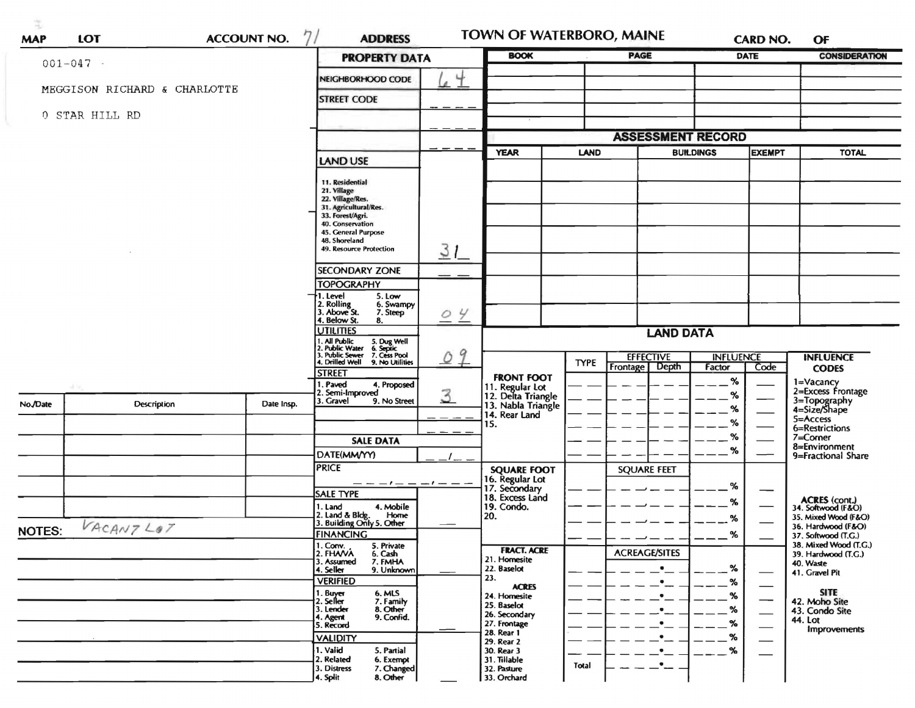| <b>MAP</b>    | <b>ACCOUNT NO.</b><br><b>LOT</b> | <b>ADDRESS</b>       |                                                                                                                    | TOWN OF WATERBORO, MAINE |                                           | <b>PAGE</b>  | <b>DATE</b>                        |                                   | <b>CARD NO.</b><br>OF |                                              |
|---------------|----------------------------------|----------------------|--------------------------------------------------------------------------------------------------------------------|--------------------------|-------------------------------------------|--------------|------------------------------------|-----------------------------------|-----------------------|----------------------------------------------|
|               | $001 - 047$ -                    | <b>PROPERTY DATA</b> | <b>BOOK</b>                                                                                                        |                          |                                           |              |                                    | <b>CONSIDERATION</b>              |                       |                                              |
|               | MEGGISON RICHARD & CHARLOTTE     |                      | NEIGHBORHOOD CODE                                                                                                  | $\overline{a}$           |                                           |              |                                    |                                   |                       |                                              |
|               |                                  |                      | <b>STREET CODE</b>                                                                                                 |                          |                                           |              |                                    |                                   |                       |                                              |
|               | 0 STAR HILL RD                   |                      |                                                                                                                    |                          |                                           |              |                                    |                                   |                       |                                              |
|               |                                  |                      |                                                                                                                    |                          |                                           |              | <b>ASSESSMENT RECORD</b>           |                                   |                       |                                              |
|               |                                  |                      |                                                                                                                    |                          | <b>YEAR</b><br><b>LAND</b>                |              |                                    | <b>BUILDINGS</b><br><b>EXEMPT</b> |                       | <b>TOTAL</b>                                 |
|               |                                  | <b>LAND USE</b>      |                                                                                                                    |                          |                                           |              |                                    |                                   |                       |                                              |
|               |                                  |                      | 11. Residential                                                                                                    |                          |                                           |              |                                    |                                   |                       |                                              |
|               |                                  |                      | 21. Village<br>22. Village/Res.<br>31. Agricultural/Res.                                                           |                          |                                           |              |                                    |                                   |                       |                                              |
|               |                                  |                      | 33. Forest/Agri.                                                                                                   |                          |                                           |              |                                    |                                   |                       |                                              |
|               |                                  |                      | 40. Conservation<br>45. General Purpose                                                                            |                          |                                           |              |                                    |                                   |                       |                                              |
|               |                                  |                      | 48. Shoreland                                                                                                      |                          |                                           |              |                                    |                                   |                       |                                              |
|               |                                  |                      | 49. Resource Protection                                                                                            | 31                       |                                           |              |                                    |                                   |                       |                                              |
|               |                                  |                      | <b>SECONDARY ZONE</b>                                                                                              |                          |                                           |              |                                    |                                   |                       |                                              |
|               |                                  |                      | <b>TOPOGRAPHY</b>                                                                                                  |                          |                                           |              |                                    |                                   |                       |                                              |
|               |                                  |                      | I. Level<br>5. Low<br>2. Rolling<br>3. Above St.<br>6. Swampy                                                      |                          |                                           |              |                                    |                                   |                       |                                              |
|               |                                  |                      | 7. Steep<br>4. Below St.<br>8.                                                                                     | 04                       |                                           |              |                                    |                                   |                       |                                              |
|               |                                  |                      | <b>UTILITIES</b>                                                                                                   | <b>LAND DATA</b>         |                                           |              |                                    |                                   |                       |                                              |
|               |                                  |                      | 1. All Public<br>2. Public Water<br>3. Public Sewer<br>4. Drilled Well<br>5. Dug Well<br>6. Septic<br>7. Cess Pool | 9                        |                                           |              |                                    |                                   |                       |                                              |
|               |                                  |                      | 9. No Utilities                                                                                                    | $\circ$                  |                                           | <b>TYPE</b>  | <b>EFFECTIVE</b><br>Frontage Depth | <b>INFLUENCE</b><br>Factor        | Code                  | <b>INFLUENCE</b><br><b>CODES</b>             |
|               |                                  |                      | <b>STREET</b><br>I. Paved<br>4. Proposed                                                                           |                          | <b>FRONT FOOT</b>                         |              |                                    | $\%$                              |                       | 1=Vacancy                                    |
|               |                                  |                      | 2. Semi-Improved                                                                                                   | 3                        | 11. Regular Lot<br>12. Delta Triangle     |              |                                    | %                                 |                       | 2=Excess Frontage                            |
| No./Date      | Description                      | Date Insp.           | 3. Gravel<br>9. No Street                                                                                          |                          | 13. Nabla Triangle<br>14. Rear Land       |              |                                    | %                                 |                       | 3=Topography<br>4=Size/Shape                 |
|               |                                  |                      |                                                                                                                    |                          | 15.                                       |              |                                    | ℅                                 |                       | 5=Access<br>6=Restrictions                   |
|               |                                  |                      | <b>SALE DATA</b>                                                                                                   |                          |                                           |              |                                    | ℅                                 |                       | 7=Corner                                     |
|               |                                  |                      | DATE(MM/YY)                                                                                                        |                          |                                           |              |                                    | %                                 |                       | 8=Environment<br>9=Fractional Share          |
|               |                                  |                      | <b>PRICE</b>                                                                                                       |                          | <b>SQUARE FOOT</b>                        |              | <b>SQUARE FEET</b>                 |                                   |                       |                                              |
|               |                                  |                      |                                                                                                                    | $-1 - -$                 | 16. Regular Lot<br>17. Secondary          |              |                                    | ℅                                 |                       |                                              |
|               |                                  |                      | <b>SALE TYPE</b>                                                                                                   |                          | 18. Excess Land                           |              |                                    | %                                 |                       | ACRES (cont.)<br>34. Softwood (F&O)          |
|               |                                  |                      | 4. Mobile<br>1. Land<br>2. Land & Bldg. Home<br>3. Building Only 5. Other<br>Home                                  |                          | 19. Condo.<br>20.                         |              |                                    | %                                 |                       | 35. Mixed Wood (F&O)                         |
| <b>NOTES:</b> | VACANTLOT                        |                      | <b>FINANCING</b>                                                                                                   |                          |                                           |              |                                    |                                   |                       | 36. Hardwood (F&O)                           |
|               |                                  |                      | 5. Private                                                                                                         |                          |                                           |              |                                    | %                                 |                       | 37. Softwood (T.G.)<br>38. Mixed Wood (T.G.) |
|               |                                  |                      | 1. Conv.<br>2. FHAVA<br>6. Cash                                                                                    |                          | <b>FRACT. ACRE</b><br>21. Homesite        |              | <b>ACREAGE/SITES</b>               |                                   |                       | 39. Hardwood (T.G.)<br>40. Waste             |
|               |                                  |                      |                                                                                                                    |                          |                                           |              |                                    | $\%$                              |                       | 41. Gravel Pit                               |
|               |                                  |                      | 7. FMHA<br>3. Assumed<br>4. Seller<br>9. Unknown                                                                   |                          | 22. Baselot                               |              |                                    |                                   |                       |                                              |
|               |                                  |                      | <b>VERIFIED</b>                                                                                                    |                          | 23.<br><b>ACRES</b>                       |              | $\bullet$                          | %                                 | $\qquad \qquad$       |                                              |
|               |                                  |                      | 1. Buyer<br>6. MLS<br>2. Seller<br>7. Family                                                                       |                          | 24. Homesite                              |              | $\bullet$                          | %                                 | —                     | SITE.<br>42. Moho Site                       |
|               |                                  |                      | 8. Other<br>3. Lender<br>9. Confid.<br>4. Agent                                                                    |                          | 25. Baselot<br>26. Secondary              |              | $\bullet$                          | %                                 |                       | 43. Condo Site                               |
|               |                                  |                      | 5. Record                                                                                                          |                          | 27. Frontage<br>28. Rear 1                |              |                                    | ℅                                 |                       | 44. Lot<br><b>Improvements</b>               |
|               |                                  |                      | <b>VALIDITY</b>                                                                                                    |                          | 29. Rear 2                                |              |                                    | %                                 |                       |                                              |
|               |                                  |                      | 1. Valid<br>5. Partial<br>2. Related<br>6. Exempt<br>7. Changed<br>3. Distress                                     |                          | 30. Rear 3<br>31. Tillable<br>32. Pasture | <b>Total</b> | ٠                                  | %                                 |                       |                                              |